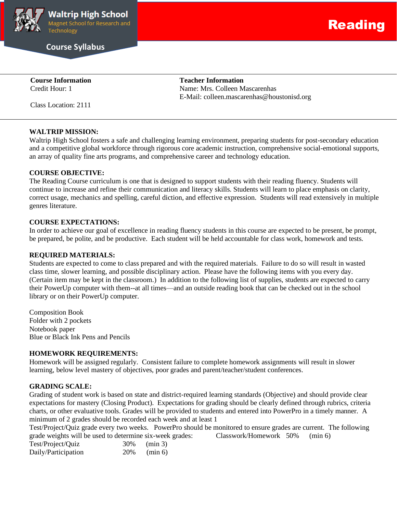

**Course Syllabus**

**Course Information Teacher Information** Credit Hour: 1 Name: Mrs. Colleen Mascarenhas

Class Location: 2111

## **WALTRIP MISSION:**

Waltrip High School fosters a safe and challenging learning environment, preparing students for post-secondary education and a competitive global workforce through rigorous core academic instruction, comprehensive social-emotional supports, an array of quality fine arts programs, and comprehensive career and technology education.

E-Mail: colleen.mascarenhas@houstonisd.org

## **COURSE OBJECTIVE:**

The Reading Course curriculum is one that is designed to support students with their reading fluency. Students will continue to increase and refine their communication and literacy skills. Students will learn to place emphasis on clarity, correct usage, mechanics and spelling, careful diction, and effective expression. Students will read extensively in multiple genres literature.

#### **COURSE EXPECTATIONS:**

In order to achieve our goal of excellence in reading fluency students in this course are expected to be present, be prompt, be prepared, be polite, and be productive. Each student will be held accountable for class work, homework and tests.

#### **REQUIRED MATERIALS:**

Students are expected to come to class prepared and with the required materials. Failure to do so will result in wasted class time, slower learning, and possible disciplinary action. Please have the following items with you every day. (Certain item may be kept in the classroom.) In addition to the following list of supplies, students are expected to carry their PowerUp computer with them--at all times—and an outside reading book that can be checked out in the school library or on their PowerUp computer.

Composition Book Folder with 2 pockets Notebook paper Blue or Black Ink Pens and Pencils

## **HOMEWORK REQUIREMENTS:**

Homework will be assigned regularly. Consistent failure to complete homework assignments will result in slower learning, below level mastery of objectives, poor grades and parent/teacher/student conferences.

# **GRADING SCALE:**

Grading of student work is based on state and district-required learning standards (Objective) and should provide clear expectations for mastery (Closing Product). Expectations for grading should be clearly defined through rubrics, criteria charts, or other evaluative tools. Grades will be provided to students and entered into PowerPro in a timely manner. A minimum of 2 grades should be recorded each week and at least 1

Test/Project/Quiz grade every two weeks. PowerPro should be monitored to ensure grades are current. The following grade weights will be used to determine six-week grades: Classwork/Homework 50% (min 6)

| Test/Project/Quiz   | 30% | $(\min 3)$ |
|---------------------|-----|------------|
| Daily/Participation | 20% | $(\min 6)$ |